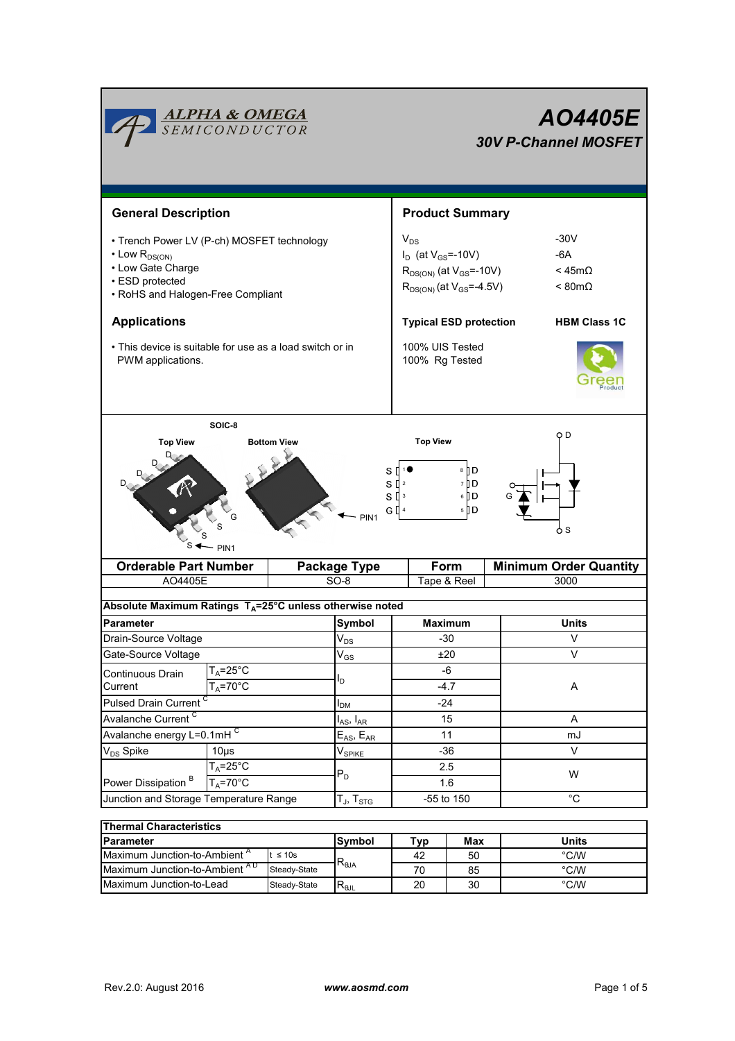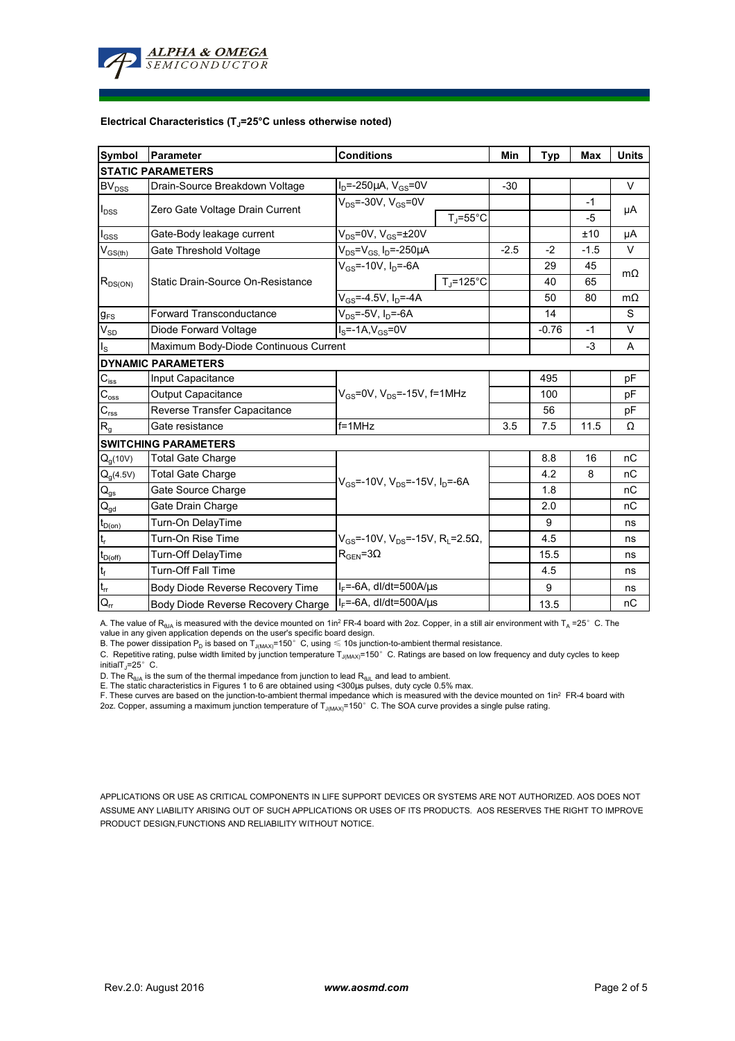

#### **Electrical Characteristics (TJ=25°C unless otherwise noted)**

| <b>Symbol</b>            | Parameter                                 | <b>Conditions</b>                                                                                          |                           | Min   | <b>Typ</b> | <b>Max</b> | <b>Units</b> |
|--------------------------|-------------------------------------------|------------------------------------------------------------------------------------------------------------|---------------------------|-------|------------|------------|--------------|
| <b>STATIC PARAMETERS</b> |                                           |                                                                                                            |                           |       |            |            |              |
| $BV_{DSS}$               | Drain-Source Breakdown Voltage            | l <sub>D</sub> =-250μA, V <sub>GS</sub> =0V                                                                |                           | $-30$ |            |            | $\vee$       |
| $I_{DSS}$                | Zero Gate Voltage Drain Current           | $V_{DS}$ =-30V, $V_{GS}$ =0V                                                                               |                           |       |            | $-1$       | μA           |
|                          |                                           |                                                                                                            | $T_i = 55^{\circ}C$       |       |            | -5         |              |
| $I_{GSS}$                | Gate-Body leakage current                 | $\overline{V_{DS}}$ =0V, V <sub>GS</sub> =±20V                                                             |                           |       |            | ±10        | μA           |
| $V_{GS(th)}$             | Gate Threshold Voltage                    | $V_{DS} = V_{GS}$ , $I_D = -250 \mu A$                                                                     |                           |       | $-2$       | $-1.5$     | V            |
| $R_{DS(ON)}$             | Static Drain-Source On-Resistance         | $V_{GS}$ =-10V, I <sub>D</sub> =-6A                                                                        |                           |       | 29         | 45         | $m\Omega$    |
|                          |                                           |                                                                                                            | $T_J = 125$ °C            |       | 40         | 65         |              |
|                          |                                           | $V_{GS} = -4.5V, I_D = -4A$                                                                                |                           |       | 50         | 80         | $m\Omega$    |
| g <sub>FS</sub>          | <b>Forward Transconductance</b>           | $V_{DS}$ =-5V, I <sub>D</sub> =-6A                                                                         |                           |       | 14         |            | S            |
| $V_{SD}$                 | Diode Forward Voltage                     | $IS=-1A,VGS=0V$                                                                                            |                           |       | $-0.76$    | $-1$       | V            |
| Is                       | Maximum Body-Diode Continuous Current     |                                                                                                            |                           |       |            | $-3$       | A            |
|                          | <b>DYNAMIC PARAMETERS</b>                 |                                                                                                            |                           |       |            |            |              |
| $C_{\text{iss}}$         | Input Capacitance                         |                                                                                                            |                           |       | 495        |            | pF           |
| $C_{\rm oss}$            | <b>Output Capacitance</b>                 | $V_{GS}$ =0V, $V_{DS}$ =-15V, f=1MHz                                                                       |                           |       | 100        |            | pF           |
| $C_{rss}$                | Reverse Transfer Capacitance              |                                                                                                            |                           |       | 56         |            | pF           |
| R <sub>g</sub>           | Gate resistance                           | $f = 1$ MHz                                                                                                |                           | 3.5   | 7.5        | 11.5       | Ω            |
|                          | <b>SWITCHING PARAMETERS</b>               |                                                                                                            |                           |       |            |            |              |
| $Q_q(10V)$               | <b>Total Gate Charge</b>                  | $V_{\rm{GS}}$ =-10V, $V_{\rm{DS}}$ =-15V, $I_{\rm{D}}$ =-6A                                                |                           |       | 8.8        | 16         | nC           |
| $Q_g(4.5V)$              | <b>Total Gate Charge</b>                  |                                                                                                            |                           |       | 4.2        | 8          | nC           |
| $\mathsf{Q}_\mathsf{gs}$ | Gate Source Charge                        |                                                                                                            |                           |       | 1.8        |            | nC           |
| $\mathsf{Q}_{\text{gd}}$ | Gate Drain Charge                         |                                                                                                            |                           |       | 2.0        |            | nC           |
| $t_{D(on)}$              | Turn-On DelayTime                         | $V_{\text{GS}}$ =-10V, $V_{\text{DS}}$ =-15V, R <sub>i</sub> =2.5 $\Omega$ ,<br>$R_{\text{GFN}} = 3\Omega$ |                           |       | 9          |            | ns           |
| t,                       | Turn-On Rise Time                         |                                                                                                            |                           |       | 4.5        |            | ns           |
| $t_{D(off)}$             | Turn-Off DelayTime                        |                                                                                                            |                           |       | 15.5       |            | ns           |
| $t_f$                    | <b>Turn-Off Fall Time</b>                 |                                                                                                            |                           |       | 4.5        |            | ns           |
| $t_{rr}$                 | Body Diode Reverse Recovery Time          | l <sub>F</sub> =-6A, dl/dt=500A/μs                                                                         |                           |       | 9          |            | ns           |
| $Q_{rr}$                 | <b>Body Diode Reverse Recovery Charge</b> |                                                                                                            | $I_F$ =-6A, dl/dt=500A/us |       | 13.5       |            | nC           |

A. The value of R<sub>θJA</sub> is measured with the device mounted on 1in<sup>2</sup> FR-4 board with 2oz. Copper, in a still air environment with T<sub>A</sub> =25° C. The

value in any given application depends on the user's specific board design.<br>B. The power dissipation P<sub>D</sub> is based on T<sub>J(MAX)</sub>=150°C, using ≤ 10s junction-to-ambient thermal resistance.

C. Repetitive rating, pulse width limited by junction temperature  $T_{J(MAX)}$ =150°C. Ratings are based on low frequency and duty cycles to keep initialT $_J=25^\circ$  C.

D. The  $R_{\theta JA}$  is the sum of the thermal impedance from junction to lead  $R_{\theta JL}$  and lead to ambient.

E. The static characteristics in Figures 1 to 6 are obtained using <300µs pulses, duty cycle 0.5% max.

F. These curves are based on the junction-to-ambient thermal impedance which is measured with the device mounted on 1in<sup>2</sup> FR-4 board with 2oz. Copper, assuming a maximum junction temperature of T $_{\rm J(MAX)}$ =150°C. The SOA curve provides a single pulse rating.

APPLICATIONS OR USE AS CRITICAL COMPONENTS IN LIFE SUPPORT DEVICES OR SYSTEMS ARE NOT AUTHORIZED. AOS DOES NOT ASSUME ANY LIABILITY ARISING OUT OF SUCH APPLICATIONS OR USES OF ITS PRODUCTS. AOS RESERVES THE RIGHT TO IMPROVE PRODUCT DESIGN,FUNCTIONS AND RELIABILITY WITHOUT NOTICE.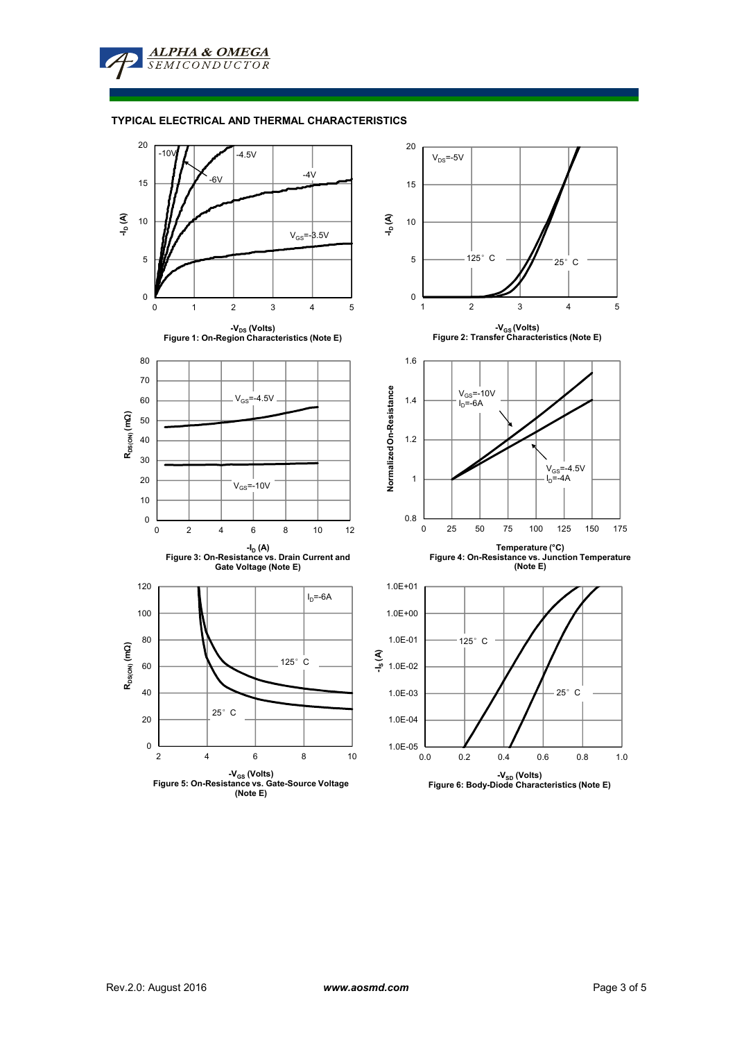

ALPHA & OMEGA **SEMICONDUCTOR** 

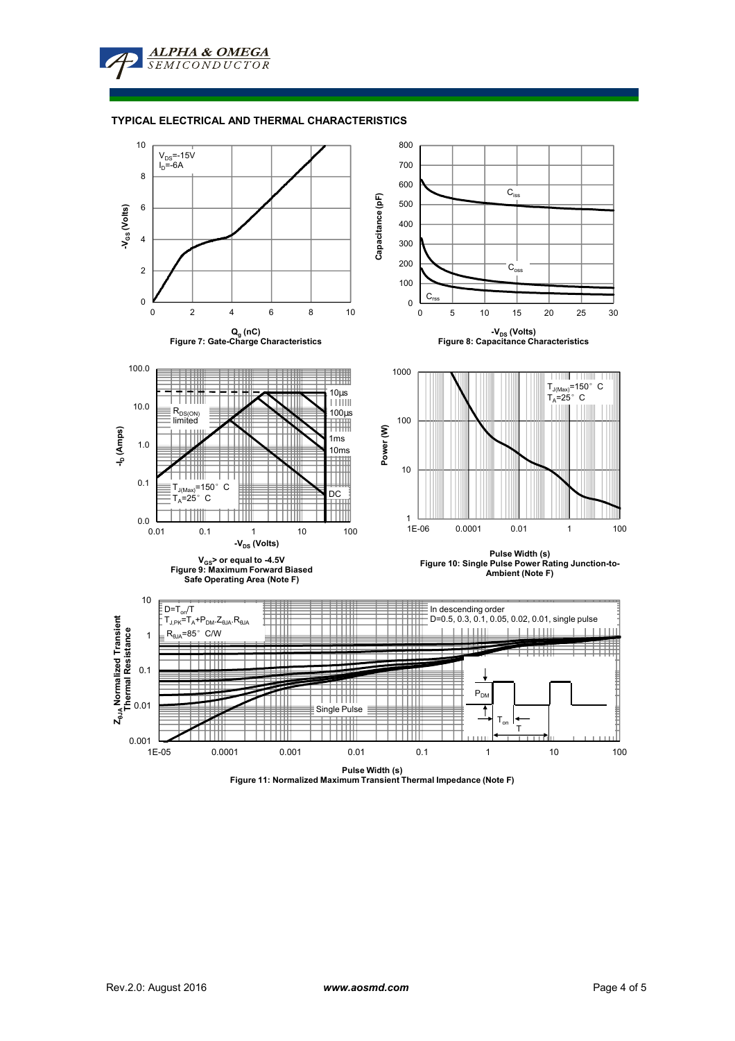ALPHA & OMEGA **SEMICONDUCTOR** 

#### **TYPICAL ELECTRICAL AND THERMAL CHARACTERISTICS**



**Figure 11: Normalized Maximum Transient Thermal Impedance (Note F)**